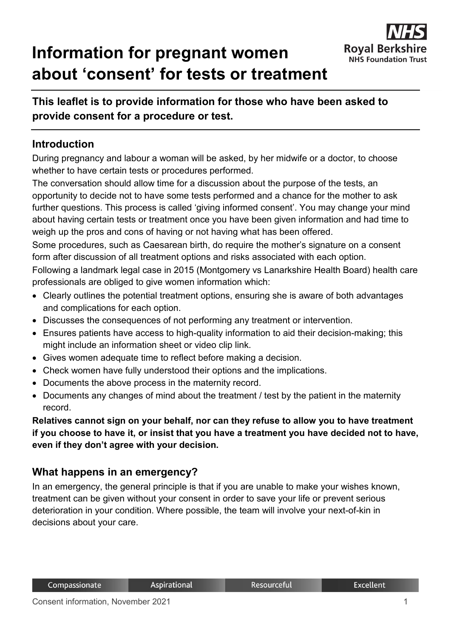# **Information for pregnant women about 'consent' for tests or treatment**



## **This leaflet is to provide information for those who have been asked to provide consent for a procedure or test.**

#### **Introduction**

During pregnancy and labour a woman will be asked, by her midwife or a doctor, to choose whether to have certain tests or procedures performed.

The conversation should allow time for a discussion about the purpose of the tests, an opportunity to decide not to have some tests performed and a chance for the mother to ask further questions. This process is called 'giving informed consent'. You may change your mind about having certain tests or treatment once you have been given information and had time to weigh up the pros and cons of having or not having what has been offered.

Some procedures, such as Caesarean birth, do require the mother's signature on a consent form after discussion of all treatment options and risks associated with each option.

Following a landmark legal case in 2015 (Montgomery vs Lanarkshire Health Board) health care professionals are obliged to give women information which:

- Clearly outlines the potential treatment options, ensuring she is aware of both advantages and complications for each option.
- Discusses the consequences of not performing any treatment or intervention.
- Ensures patients have access to high-quality information to aid their decision-making; this might include an information sheet or video clip link.
- Gives women adequate time to reflect before making a decision.
- Check women have fully understood their options and the implications.
- Documents the above process in the maternity record.
- Documents any changes of mind about the treatment / test by the patient in the maternity record.

#### **Relatives cannot sign on your behalf, nor can they refuse to allow you to have treatment if you choose to have it, or insist that you have a treatment you have decided not to have, even if they don't agree with your decision.**

#### **What happens in an emergency?**

In an emergency, the general principle is that if you are unable to make your wishes known, treatment can be given without your consent in order to save your life or prevent serious deterioration in your condition. Where possible, the team will involve your next-of-kin in decisions about your care.